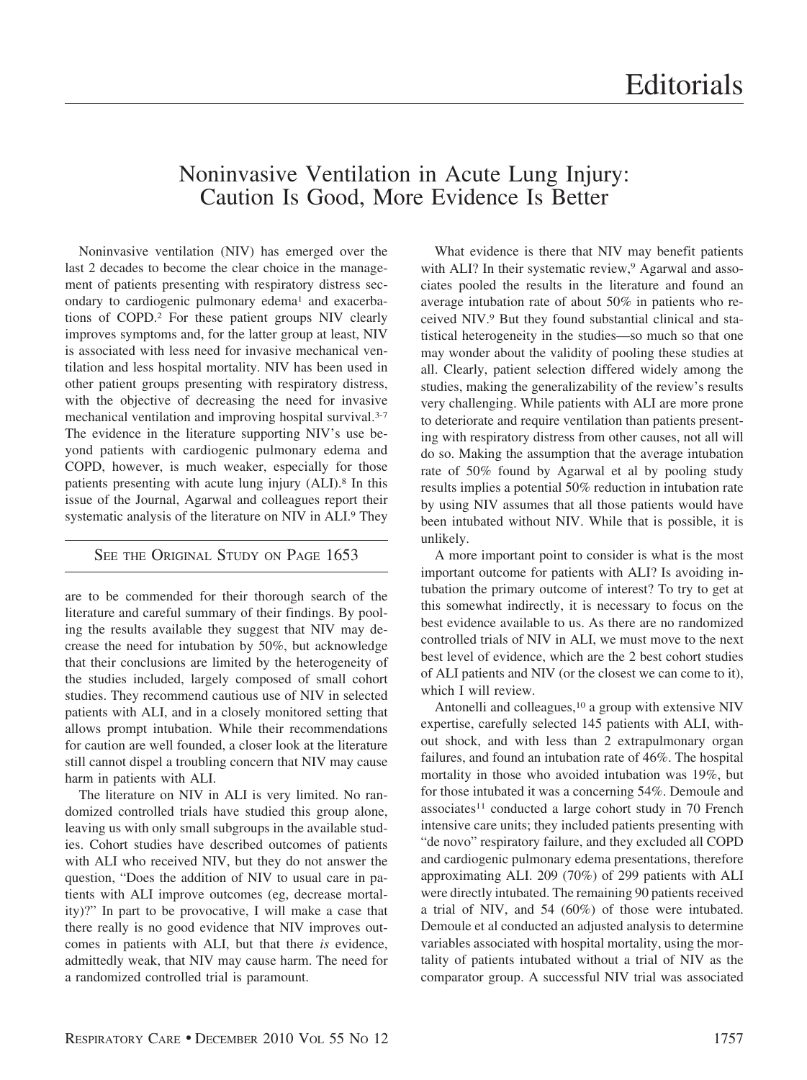## Noninvasive Ventilation in Acute Lung Injury: Caution Is Good, More Evidence Is Better

Noninvasive ventilation (NIV) has emerged over the last 2 decades to become the clear choice in the management of patients presenting with respiratory distress secondary to cardiogenic pulmonary edema<sup>1</sup> and exacerbations of COPD.2 For these patient groups NIV clearly improves symptoms and, for the latter group at least, NIV is associated with less need for invasive mechanical ventilation and less hospital mortality. NIV has been used in other patient groups presenting with respiratory distress, with the objective of decreasing the need for invasive mechanical ventilation and improving hospital survival.3-7 The evidence in the literature supporting NIV's use beyond patients with cardiogenic pulmonary edema and COPD, however, is much weaker, especially for those patients presenting with acute lung injury (ALI).8 In this issue of the Journal, Agarwal and colleagues report their systematic analysis of the literature on NIV in ALI.9 They

## SEE THE ORIGINAL STUDY ON PAGE 1653

are to be commended for their thorough search of the literature and careful summary of their findings. By pooling the results available they suggest that NIV may decrease the need for intubation by 50%, but acknowledge that their conclusions are limited by the heterogeneity of the studies included, largely composed of small cohort studies. They recommend cautious use of NIV in selected patients with ALI, and in a closely monitored setting that allows prompt intubation. While their recommendations for caution are well founded, a closer look at the literature still cannot dispel a troubling concern that NIV may cause harm in patients with ALI.

The literature on NIV in ALI is very limited. No randomized controlled trials have studied this group alone, leaving us with only small subgroups in the available studies. Cohort studies have described outcomes of patients with ALI who received NIV, but they do not answer the question, "Does the addition of NIV to usual care in patients with ALI improve outcomes (eg, decrease mortality)?" In part to be provocative, I will make a case that there really is no good evidence that NIV improves outcomes in patients with ALI, but that there *is* evidence, admittedly weak, that NIV may cause harm. The need for a randomized controlled trial is paramount.

What evidence is there that NIV may benefit patients with ALI? In their systematic review,<sup>9</sup> Agarwal and associates pooled the results in the literature and found an average intubation rate of about 50% in patients who received NIV.9 But they found substantial clinical and statistical heterogeneity in the studies—so much so that one may wonder about the validity of pooling these studies at all. Clearly, patient selection differed widely among the studies, making the generalizability of the review's results very challenging. While patients with ALI are more prone to deteriorate and require ventilation than patients presenting with respiratory distress from other causes, not all will do so. Making the assumption that the average intubation rate of 50% found by Agarwal et al by pooling study results implies a potential 50% reduction in intubation rate by using NIV assumes that all those patients would have been intubated without NIV. While that is possible, it is unlikely.

A more important point to consider is what is the most important outcome for patients with ALI? Is avoiding intubation the primary outcome of interest? To try to get at this somewhat indirectly, it is necessary to focus on the best evidence available to us. As there are no randomized controlled trials of NIV in ALI, we must move to the next best level of evidence, which are the 2 best cohort studies of ALI patients and NIV (or the closest we can come to it), which I will review.

Antonelli and colleagues,10 a group with extensive NIV expertise, carefully selected 145 patients with ALI, without shock, and with less than 2 extrapulmonary organ failures, and found an intubation rate of 46%. The hospital mortality in those who avoided intubation was 19%, but for those intubated it was a concerning 54%. Demoule and associates<sup>11</sup> conducted a large cohort study in 70 French intensive care units; they included patients presenting with "de novo" respiratory failure, and they excluded all COPD and cardiogenic pulmonary edema presentations, therefore approximating ALI. 209 (70%) of 299 patients with ALI were directly intubated. The remaining 90 patients received a trial of NIV, and 54 (60%) of those were intubated. Demoule et al conducted an adjusted analysis to determine variables associated with hospital mortality, using the mortality of patients intubated without a trial of NIV as the comparator group. A successful NIV trial was associated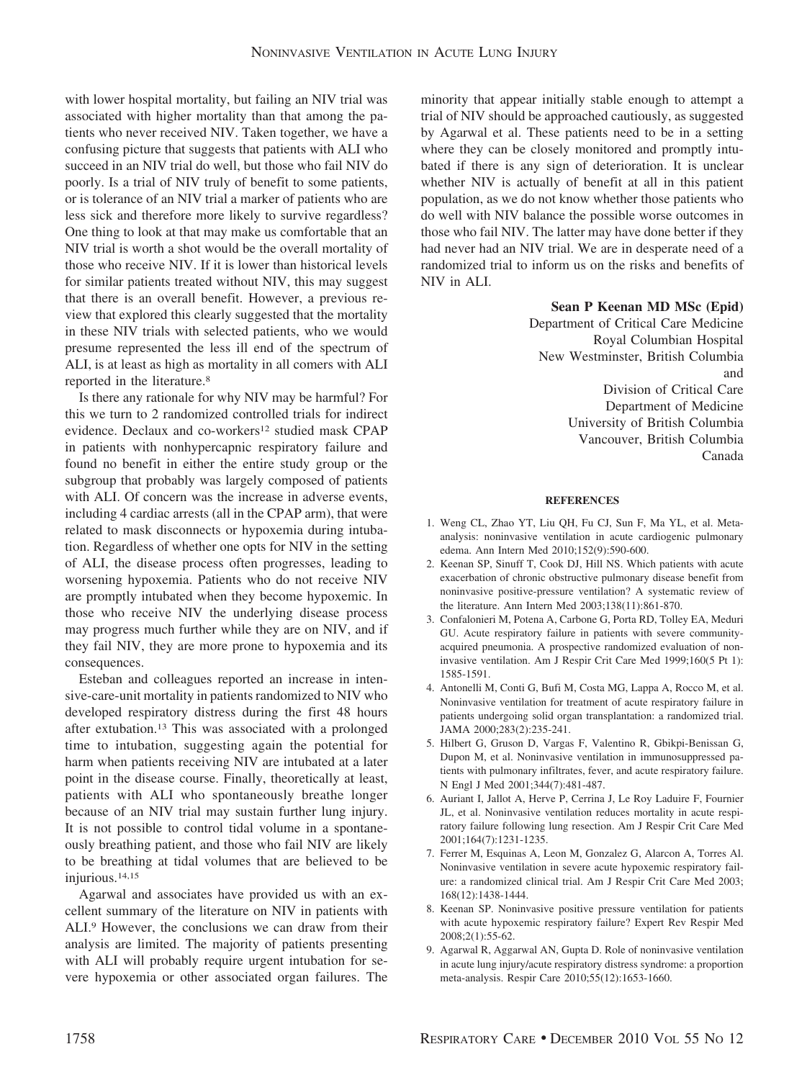with lower hospital mortality, but failing an NIV trial was associated with higher mortality than that among the patients who never received NIV. Taken together, we have a confusing picture that suggests that patients with ALI who succeed in an NIV trial do well, but those who fail NIV do poorly. Is a trial of NIV truly of benefit to some patients, or is tolerance of an NIV trial a marker of patients who are less sick and therefore more likely to survive regardless? One thing to look at that may make us comfortable that an NIV trial is worth a shot would be the overall mortality of those who receive NIV. If it is lower than historical levels for similar patients treated without NIV, this may suggest that there is an overall benefit. However, a previous review that explored this clearly suggested that the mortality in these NIV trials with selected patients, who we would presume represented the less ill end of the spectrum of ALI, is at least as high as mortality in all comers with ALI reported in the literature.8

Is there any rationale for why NIV may be harmful? For this we turn to 2 randomized controlled trials for indirect evidence. Declaux and co-workers<sup>12</sup> studied mask CPAP in patients with nonhypercapnic respiratory failure and found no benefit in either the entire study group or the subgroup that probably was largely composed of patients with ALI. Of concern was the increase in adverse events, including 4 cardiac arrests (all in the CPAP arm), that were related to mask disconnects or hypoxemia during intubation. Regardless of whether one opts for NIV in the setting of ALI, the disease process often progresses, leading to worsening hypoxemia. Patients who do not receive NIV are promptly intubated when they become hypoxemic. In those who receive NIV the underlying disease process may progress much further while they are on NIV, and if they fail NIV, they are more prone to hypoxemia and its consequences.

Esteban and colleagues reported an increase in intensive-care-unit mortality in patients randomized to NIV who developed respiratory distress during the first 48 hours after extubation.13 This was associated with a prolonged time to intubation, suggesting again the potential for harm when patients receiving NIV are intubated at a later point in the disease course. Finally, theoretically at least, patients with ALI who spontaneously breathe longer because of an NIV trial may sustain further lung injury. It is not possible to control tidal volume in a spontaneously breathing patient, and those who fail NIV are likely to be breathing at tidal volumes that are believed to be injurious.14,15

Agarwal and associates have provided us with an excellent summary of the literature on NIV in patients with ALI.9 However, the conclusions we can draw from their analysis are limited. The majority of patients presenting with ALI will probably require urgent intubation for severe hypoxemia or other associated organ failures. The

minority that appear initially stable enough to attempt a trial of NIV should be approached cautiously, as suggested by Agarwal et al. These patients need to be in a setting where they can be closely monitored and promptly intubated if there is any sign of deterioration. It is unclear whether NIV is actually of benefit at all in this patient population, as we do not know whether those patients who do well with NIV balance the possible worse outcomes in those who fail NIV. The latter may have done better if they had never had an NIV trial. We are in desperate need of a randomized trial to inform us on the risks and benefits of NIV in ALI.

## **Sean P Keenan MD MSc (Epid)**

Department of Critical Care Medicine Royal Columbian Hospital New Westminster, British Columbia and Division of Critical Care Department of Medicine University of British Columbia Vancouver, British Columbia Canada

## **REFERENCES**

- 1. Weng CL, Zhao YT, Liu QH, Fu CJ, Sun F, Ma YL, et al. Metaanalysis: noninvasive ventilation in acute cardiogenic pulmonary edema. Ann Intern Med 2010;152(9):590-600.
- 2. Keenan SP, Sinuff T, Cook DJ, Hill NS. Which patients with acute exacerbation of chronic obstructive pulmonary disease benefit from noninvasive positive-pressure ventilation? A systematic review of the literature. Ann Intern Med 2003;138(11):861-870.
- 3. Confalonieri M, Potena A, Carbone G, Porta RD, Tolley EA, Meduri GU. Acute respiratory failure in patients with severe communityacquired pneumonia. A prospective randomized evaluation of noninvasive ventilation. Am J Respir Crit Care Med 1999;160(5 Pt 1): 1585-1591.
- 4. Antonelli M, Conti G, Bufi M, Costa MG, Lappa A, Rocco M, et al. Noninvasive ventilation for treatment of acute respiratory failure in patients undergoing solid organ transplantation: a randomized trial. JAMA 2000;283(2):235-241.
- 5. Hilbert G, Gruson D, Vargas F, Valentino R, Gbikpi-Benissan G, Dupon M, et al. Noninvasive ventilation in immunosuppressed patients with pulmonary infiltrates, fever, and acute respiratory failure. N Engl J Med 2001;344(7):481-487.
- 6. Auriant I, Jallot A, Herve P, Cerrina J, Le Roy Laduire F, Fournier JL, et al. Noninvasive ventilation reduces mortality in acute respiratory failure following lung resection. Am J Respir Crit Care Med 2001;164(7):1231-1235.
- 7. Ferrer M, Esquinas A, Leon M, Gonzalez G, Alarcon A, Torres Al. Noninvasive ventilation in severe acute hypoxemic respiratory failure: a randomized clinical trial. Am J Respir Crit Care Med 2003; 168(12):1438-1444.
- 8. Keenan SP. Noninvasive positive pressure ventilation for patients with acute hypoxemic respiratory failure? Expert Rev Respir Med 2008;2(1):55-62.
- 9. Agarwal R, Aggarwal AN, Gupta D. Role of noninvasive ventilation in acute lung injury/acute respiratory distress syndrome: a proportion meta-analysis. Respir Care 2010;55(12):1653-1660.